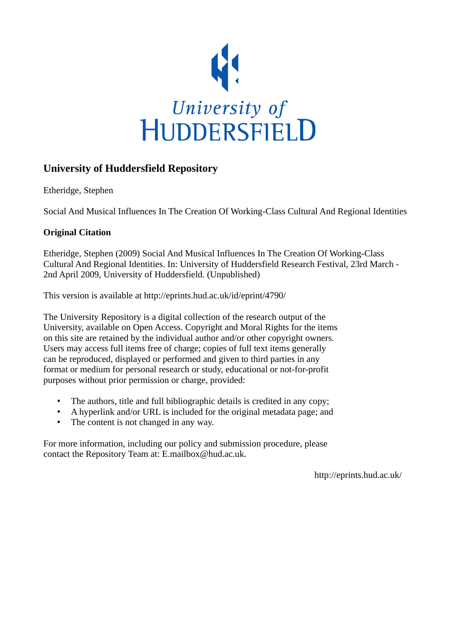

## **University of Huddersfield Repository**

Etheridge, Stephen

Social And Musical Influences In The Creation Of Working-Class Cultural And Regional Identities

## **Original Citation**

Etheridge, Stephen (2009) Social And Musical Influences In The Creation Of Working-Class Cultural And Regional Identities. In: University of Huddersfield Research Festival, 23rd March - 2nd April 2009, University of Huddersfield. (Unpublished)

This version is available at http://eprints.hud.ac.uk/id/eprint/4790/

The University Repository is a digital collection of the research output of the University, available on Open Access. Copyright and Moral Rights for the items on this site are retained by the individual author and/or other copyright owners. Users may access full items free of charge; copies of full text items generally can be reproduced, displayed or performed and given to third parties in any format or medium for personal research or study, educational or not-for-profit purposes without prior permission or charge, provided:

- The authors, title and full bibliographic details is credited in any copy;
- A hyperlink and/or URL is included for the original metadata page; and
- The content is not changed in any way.

For more information, including our policy and submission procedure, please contact the Repository Team at: E.mailbox@hud.ac.uk.

http://eprints.hud.ac.uk/